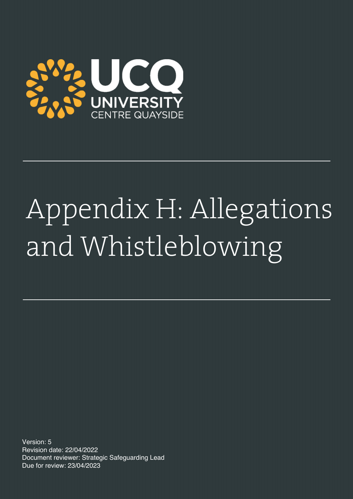

# Appendix H: Allegations and Whistleblowing

Version: 5 Revision date: 22/04/2022 Document reviewer: Strategic Safeguarding Lead Due for review: 23/04/2023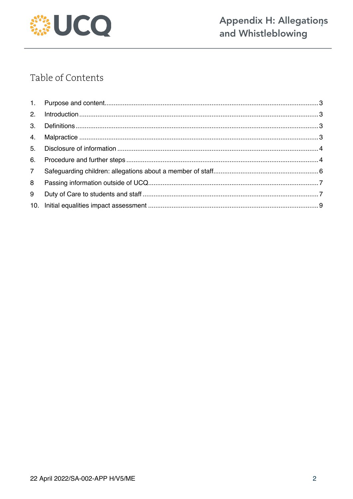

# Table of Contents

| 7 <sup>7</sup> |  |
|----------------|--|
| 8              |  |
| 9              |  |
|                |  |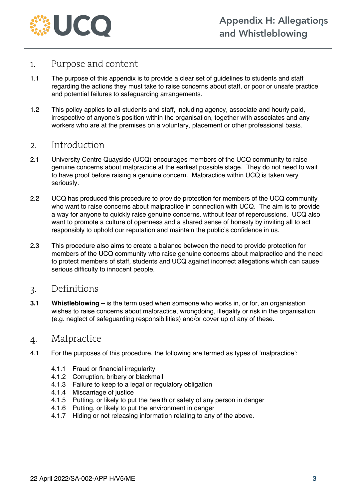

#### 1. Purpose and content

- 1.1 The purpose of this appendix is to provide a clear set of guidelines to students and staff regarding the actions they must take to raise concerns about staff, or poor or unsafe practice and potential failures to safeguarding arrangements.
- 1.2 This policy applies to all students and staff, including agency, associate and hourly paid, irrespective of anyone's position within the organisation, together with associates and any workers who are at the premises on a voluntary, placement or other professional basis.

#### 2. Introduction

- 2.1 University Centre Quayside (UCQ) encourages members of the UCQ community to raise genuine concerns about malpractice at the earliest possible stage. They do not need to wait to have proof before raising a genuine concern. Malpractice within UCQ is taken very seriously.
- 2.2 UCQ has produced this procedure to provide protection for members of the UCQ community who want to raise concerns about malpractice in connection with UCQ. The aim is to provide a way for anyone to quickly raise genuine concerns, without fear of repercussions. UCQ also want to promote a culture of openness and a shared sense of honesty by inviting all to act responsibly to uphold our reputation and maintain the public's confidence in us.
- 2.3 This procedure also aims to create a balance between the need to provide protection for members of the UCQ community who raise genuine concerns about malpractice and the need to protect members of staff, students and UCQ against incorrect allegations which can cause serious difficulty to innocent people.

#### 3. Definitions

**3.1 Whistleblowing** – is the term used when someone who works in, or for, an organisation wishes to raise concerns about malpractice, wrongdoing, illegality or risk in the organisation (e.g. neglect of safeguarding responsibilities) and/or cover up of any of these.

#### 4. Malpractice

- 4.1 For the purposes of this procedure, the following are termed as types of 'malpractice':
	- 4.1.1 Fraud or financial irregularity
	- 4.1.2 Corruption, bribery or blackmail
	- 4.1.3 Failure to keep to a legal or regulatory obligation
	- 4.1.4 Miscarriage of justice
	- 4.1.5 Putting, or likely to put the health or safety of any person in danger
	- 4.1.6 Putting, or likely to put the environment in danger
	- 4.1.7 Hiding or not releasing information relating to any of the above.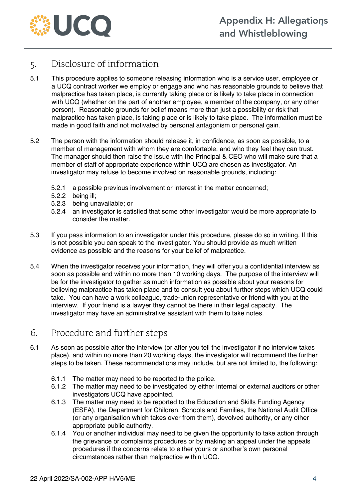

#### 5. Disclosure of information

- 5.1 This procedure applies to someone releasing information who is a service user, employee or a UCQ contract worker we employ or engage and who has reasonable grounds to believe that malpractice has taken place, is currently taking place or is likely to take place in connection with UCQ (whether on the part of another employee, a member of the company, or any other person). Reasonable grounds for belief means more than just a possibility or risk that malpractice has taken place, is taking place or is likely to take place. The information must be made in good faith and not motivated by personal antagonism or personal gain.
- 5.2 The person with the information should release it, in confidence, as soon as possible, to a member of management with whom they are comfortable, and who they feel they can trust. The manager should then raise the issue with the Principal & CEO who will make sure that a member of staff of appropriate experience within UCQ are chosen as investigator. An investigator may refuse to become involved on reasonable grounds, including:
	- 5.2.1 a possible previous involvement or interest in the matter concerned;
	- 5.2.2 being ill;
	- 5.2.3 being unavailable; or
	- 5.2.4 an investigator is satisfied that some other investigator would be more appropriate to consider the matter.
- 5.3 If you pass information to an investigator under this procedure, please do so in writing. If this is not possible you can speak to the investigator. You should provide as much written evidence as possible and the reasons for your belief of malpractice.
- 5.4 When the investigator receives your information, they will offer you a confidential interview as soon as possible and within no more than 10 working days. The purpose of the interview will be for the investigator to gather as much information as possible about your reasons for believing malpractice has taken place and to consult you about further steps which UCQ could take. You can have a work colleague, trade-union representative or friend with you at the interview. If your friend is a lawyer they cannot be there in their legal capacity. The investigator may have an administrative assistant with them to take notes.

#### 6. Procedure and further steps

- 6.1 As soon as possible after the interview (or after you tell the investigator if no interview takes place), and within no more than 20 working days, the investigator will recommend the further steps to be taken. These recommendations may include, but are not limited to, the following:
	- 6.1.1 The matter may need to be reported to the police.
	- 6.1.2 The matter may need to be investigated by either internal or external auditors or other investigators UCQ have appointed.
	- 6.1.3 The matter may need to be reported to the Education and Skills Funding Agency (ESFA), the Department for Children, Schools and Families, the National Audit Office (or any organisation which takes over from them), devolved authority, or any other appropriate public authority.
	- 6.1.4 You or another individual may need to be given the opportunity to take action through the grievance or complaints procedures or by making an appeal under the appeals procedures if the concerns relate to either yours or another's own personal circumstances rather than malpractice within UCQ.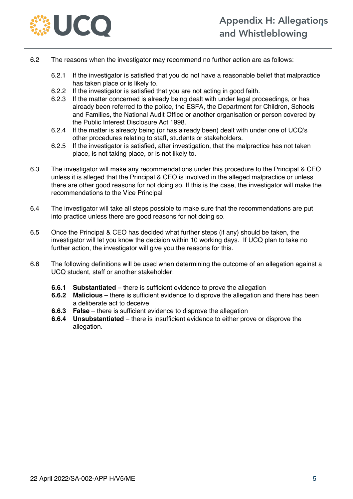

- 6.2 The reasons when the investigator may recommend no further action are as follows:
	- 6.2.1 If the investigator is satisfied that you do not have a reasonable belief that malpractice has taken place or is likely to.
	- 6.2.2 If the investigator is satisfied that you are not acting in good faith.
	- 6.2.3 If the matter concerned is already being dealt with under legal proceedings, or has already been referred to the police, the ESFA, the Department for Children, Schools and Families, the National Audit Office or another organisation or person covered by the Public Interest Disclosure Act 1998.
	- 6.2.4 If the matter is already being (or has already been) dealt with under one of UCQ's other procedures relating to staff, students or stakeholders.
	- 6.2.5 If the investigator is satisfied, after investigation, that the malpractice has not taken place, is not taking place, or is not likely to.
- 6.3 The investigator will make any recommendations under this procedure to the Principal & CEO unless it is alleged that the Principal & CEO is involved in the alleged malpractice or unless there are other good reasons for not doing so. If this is the case, the investigator will make the recommendations to the Vice Principal
- 6.4 The investigator will take all steps possible to make sure that the recommendations are put into practice unless there are good reasons for not doing so.
- 6.5 Once the Principal & CEO has decided what further steps (if any) should be taken, the investigator will let you know the decision within 10 working days. If UCQ plan to take no further action, the investigator will give you the reasons for this.
- 6.6 The following definitions will be used when determining the outcome of an allegation against a UCQ student, staff or another stakeholder:
	- **6.6.1 Substantiated** there is sufficient evidence to prove the allegation
	- **6.6.2 Malicious** there is sufficient evidence to disprove the allegation and there has been a deliberate act to deceive
	- **6.6.3 False** there is sufficient evidence to disprove the allegation
	- **6.6.4 Unsubstantiated** there is insufficient evidence to either prove or disprove the allegation.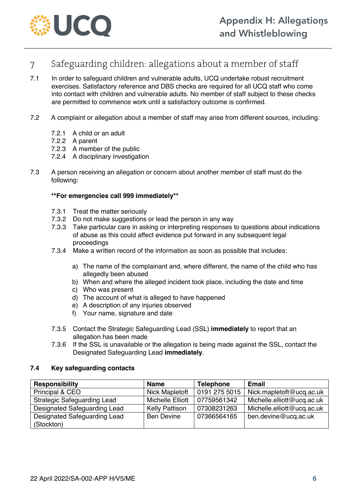

## 7 Safeguarding children: allegations about a member of staff

- 7.1 In order to safeguard children and vulnerable adults, UCQ undertake robust recruitment exercises. Satisfactory reference and DBS checks are required for all UCQ staff who come into contact with children and vulnerable adults. No member of staff subject to these checks are permitted to commence work until a satisfactory outcome is confirmed.
- 7.2 A complaint or allegation about a member of staff may arise from different sources, including:
	- 7.2.1 A child or an adult
	- 7.2.2 A parent
	- 7.2.3 A member of the public
	- 7.2.4 A disciplinary investigation
- 7.3 A person receiving an allegation or concern about another member of staff must do the following:

#### **\*\*For emergencies call 999 immediately\*\***

- 7.3.1 Treat the matter seriously
- 7.3.2 Do not make suggestions or lead the person in any way
- 7.3.3 Take particular care in asking or interpreting responses to questions about indications of abuse as this could affect evidence put forward in any subsequent legal proceedings
- 7.3.4 Make a written record of the information as soon as possible that includes:
	- a) The name of the complainant and, where different, the name of the child who has allegedly been abused
	- b) When and where the alleged incident took place, including the date and time
	- c) Who was present
	- d) The account of what is alleged to have happened
	- e) A description of any injuries observed
	- f) Your name, signature and date
- 7.3.5 Contact the Strategic Safeguarding Lead (SSL) **immediately** to report that an allegation has been made
- 7.3.6 If the SSL is unavailable or the allegation is being made against the SSL, contact the Designated Safeguarding Lead **immediately**.

#### **7.4 Key safeguarding contacts**

| <b>Responsibility</b>              | <b>Name</b>             | <b>Telephone</b> | <b>Email</b>               |
|------------------------------------|-------------------------|------------------|----------------------------|
| Principal & CEO                    | Nick Mapletoft          | 0191 275 5015    | Nick.mapletoft@ucq.ac.uk   |
| <b>Strategic Safeguarding Lead</b> | <b>Michelle Elliott</b> | 07759561342      | Michelle.elliott@ucq.ac.uk |
| Designated Safeguarding Lead       | <b>Kelly Pattison</b>   | 07308231263      | Michelle.elliott@ucq.ac.uk |
| Designated Safeguarding Lead       | <b>Ben Devine</b>       | 07366564165      | ben.devine@ucq.ac.uk       |
| (Stockton)                         |                         |                  |                            |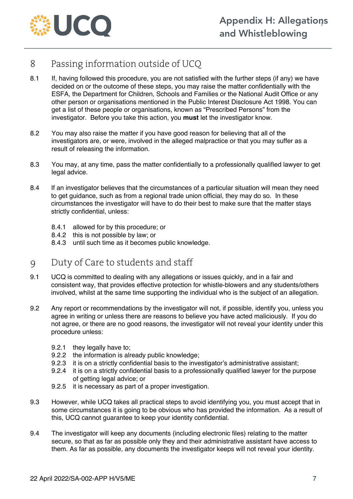

### 8 Passing information outside of UCQ

- 8.1 If, having followed this procedure, you are not satisfied with the further steps (if any) we have decided on or the outcome of these steps, you may raise the matter confidentially with the ESFA, the Department for Children, Schools and Families or the National Audit Office or any other person or organisations mentioned in the Public Interest Disclosure Act 1998. You can get a list of these people or organisations, known as "Prescribed Persons" from the investigator. Before you take this action, you **must** let the investigator know.
- 8.2 You may also raise the matter if you have good reason for believing that all of the investigators are, or were, involved in the alleged malpractice or that you may suffer as a result of releasing the information.
- 8.3 You may, at any time, pass the matter confidentially to a professionally qualified lawyer to get legal advice.
- 8.4 If an investigator believes that the circumstances of a particular situation will mean they need to get guidance, such as from a regional trade union official, they may do so. In these circumstances the investigator will have to do their best to make sure that the matter stays strictly confidential, unless:
	- 8.4.1 allowed for by this procedure; or
	- 8.4.2 this is not possible by law; or
	- 8.4.3 until such time as it becomes public knowledge.

#### 9 Duty of Care to students and staff

- 9.1 UCQ is committed to dealing with any allegations or issues quickly, and in a fair and consistent way, that provides effective protection for whistle-blowers and any students/others involved, whilst at the same time supporting the individual who is the subject of an allegation.
- 9.2 Any report or recommendations by the investigator will not, if possible, identify you, unless you agree in writing or unless there are reasons to believe you have acted maliciously. If you do not agree, or there are no good reasons, the investigator will not reveal your identity under this procedure unless:
	- 9.2.1 they legally have to;
	- 9.2.2 the information is already public knowledge;
	- 9.2.3 it is on a strictly confidential basis to the investigator's administrative assistant;
	- 9.2.4 it is on a strictly confidential basis to a professionally qualified lawyer for the purpose of getting legal advice; or
	- 9.2.5 it is necessary as part of a proper investigation.
- 9.3 However, while UCQ takes all practical steps to avoid identifying you, you must accept that in some circumstances it is going to be obvious who has provided the information. As a result of this, UCQ cannot guarantee to keep your identity confidential.
- 9.4 The investigator will keep any documents (including electronic files) relating to the matter secure, so that as far as possible only they and their administrative assistant have access to them. As far as possible, any documents the investigator keeps will not reveal your identity.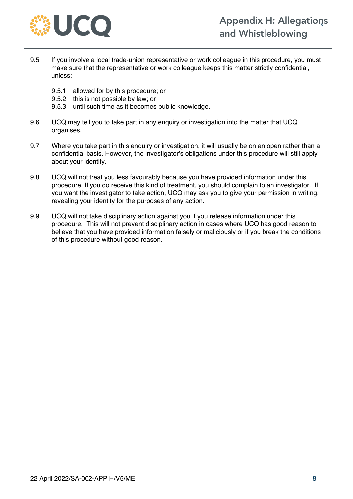

- 9.5 If you involve a local trade-union representative or work colleague in this procedure, you must make sure that the representative or work colleague keeps this matter strictly confidential, unless:
	- 9.5.1 allowed for by this procedure; or
	- 9.5.2 this is not possible by law; or
	- 9.5.3 until such time as it becomes public knowledge.
- 9.6 UCQ may tell you to take part in any enquiry or investigation into the matter that UCQ organises.
- 9.7 Where you take part in this enquiry or investigation, it will usually be on an open rather than a confidential basis. However, the investigator's obligations under this procedure will still apply about your identity.
- 9.8 UCQ will not treat you less favourably because you have provided information under this procedure. If you do receive this kind of treatment, you should complain to an investigator. If you want the investigator to take action, UCQ may ask you to give your permission in writing, revealing your identity for the purposes of any action.
- 9.9 UCQ will not take disciplinary action against you if you release information under this procedure. This will not prevent disciplinary action in cases where UCQ has good reason to believe that you have provided information falsely or maliciously or if you break the conditions of this procedure without good reason.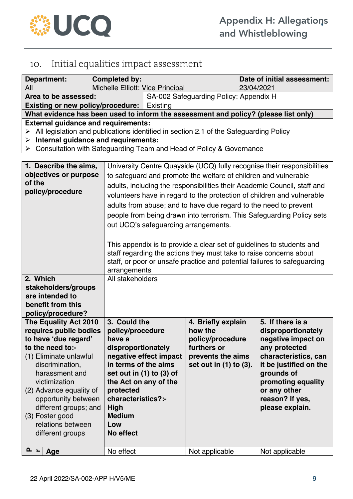

## 10. Initial equalities impact assessment

| Department:                                                                                                                                                                                                                                                                                                        | Completed by:                                                                                                                                                                                                                     |                                                                                                                                                                                                                                                                                                                                                                                                                                                                                                                                                                                                                                                                                                                  |                                                                                                                      | Date of initial assessment: |                                                                                                                                                                                                                           |
|--------------------------------------------------------------------------------------------------------------------------------------------------------------------------------------------------------------------------------------------------------------------------------------------------------------------|-----------------------------------------------------------------------------------------------------------------------------------------------------------------------------------------------------------------------------------|------------------------------------------------------------------------------------------------------------------------------------------------------------------------------------------------------------------------------------------------------------------------------------------------------------------------------------------------------------------------------------------------------------------------------------------------------------------------------------------------------------------------------------------------------------------------------------------------------------------------------------------------------------------------------------------------------------------|----------------------------------------------------------------------------------------------------------------------|-----------------------------|---------------------------------------------------------------------------------------------------------------------------------------------------------------------------------------------------------------------------|
| All                                                                                                                                                                                                                                                                                                                |                                                                                                                                                                                                                                   | Michelle Elliott: Vice Principal                                                                                                                                                                                                                                                                                                                                                                                                                                                                                                                                                                                                                                                                                 |                                                                                                                      | 23/04/2021                  |                                                                                                                                                                                                                           |
| Area to be assessed:                                                                                                                                                                                                                                                                                               |                                                                                                                                                                                                                                   | SA-002 Safeguarding Policy: Appendix H                                                                                                                                                                                                                                                                                                                                                                                                                                                                                                                                                                                                                                                                           |                                                                                                                      |                             |                                                                                                                                                                                                                           |
| <b>Existing or new policy/procedure:</b>                                                                                                                                                                                                                                                                           |                                                                                                                                                                                                                                   | Existing                                                                                                                                                                                                                                                                                                                                                                                                                                                                                                                                                                                                                                                                                                         |                                                                                                                      |                             |                                                                                                                                                                                                                           |
| What evidence has been used to inform the assessment and policy? (please list only)                                                                                                                                                                                                                                |                                                                                                                                                                                                                                   |                                                                                                                                                                                                                                                                                                                                                                                                                                                                                                                                                                                                                                                                                                                  |                                                                                                                      |                             |                                                                                                                                                                                                                           |
| <b>External guidance and requirements:</b><br>All legislation and publications identified in section 2.1 of the Safeguarding Policy<br>➤<br>Internal guidance and requirements:<br>➤<br>Consultation with Safeguarding Team and Head of Policy & Governance<br>≻                                                   |                                                                                                                                                                                                                                   |                                                                                                                                                                                                                                                                                                                                                                                                                                                                                                                                                                                                                                                                                                                  |                                                                                                                      |                             |                                                                                                                                                                                                                           |
| 1. Describe the aims,<br>objectives or purpose<br>of the<br>policy/procedure                                                                                                                                                                                                                                       |                                                                                                                                                                                                                                   | University Centre Quayside (UCQ) fully recognise their responsibilities<br>to safeguard and promote the welfare of children and vulnerable<br>adults, including the responsibilities their Academic Council, staff and<br>volunteers have in regard to the protection of children and vulnerable<br>adults from abuse; and to have due regard to the need to prevent<br>people from being drawn into terrorism. This Safeguarding Policy sets<br>out UCQ's safeguarding arrangements.<br>This appendix is to provide a clear set of guidelines to students and<br>staff regarding the actions they must take to raise concerns about<br>staff, or poor or unsafe practice and potential failures to safeguarding |                                                                                                                      |                             |                                                                                                                                                                                                                           |
| 2. Which                                                                                                                                                                                                                                                                                                           | arrangements<br>All stakeholders                                                                                                                                                                                                  |                                                                                                                                                                                                                                                                                                                                                                                                                                                                                                                                                                                                                                                                                                                  |                                                                                                                      |                             |                                                                                                                                                                                                                           |
| stakeholders/groups                                                                                                                                                                                                                                                                                                |                                                                                                                                                                                                                                   |                                                                                                                                                                                                                                                                                                                                                                                                                                                                                                                                                                                                                                                                                                                  |                                                                                                                      |                             |                                                                                                                                                                                                                           |
| are intended to                                                                                                                                                                                                                                                                                                    |                                                                                                                                                                                                                                   |                                                                                                                                                                                                                                                                                                                                                                                                                                                                                                                                                                                                                                                                                                                  |                                                                                                                      |                             |                                                                                                                                                                                                                           |
| benefit from this                                                                                                                                                                                                                                                                                                  |                                                                                                                                                                                                                                   |                                                                                                                                                                                                                                                                                                                                                                                                                                                                                                                                                                                                                                                                                                                  |                                                                                                                      |                             |                                                                                                                                                                                                                           |
| policy/procedure?                                                                                                                                                                                                                                                                                                  |                                                                                                                                                                                                                                   |                                                                                                                                                                                                                                                                                                                                                                                                                                                                                                                                                                                                                                                                                                                  |                                                                                                                      |                             |                                                                                                                                                                                                                           |
| The Equality Act 2010<br>requires public bodies<br>to have 'due regard'<br>to the need to:-<br>(1) Eliminate unlawful<br>discrimination,<br>harassment and<br>victimization<br>(2) Advance equality of<br>opportunity between<br>different groups; and<br>(3) Foster good<br>relations between<br>different groups | 3. Could the<br>policy/procedure<br>have a<br>disproportionately<br>in terms of the aims<br>set out in $(1)$ to $(3)$ of<br>the Act on any of the<br>protected<br>characteristics?:-<br>High<br><b>Medium</b><br>Low<br>No effect | negative effect impact                                                                                                                                                                                                                                                                                                                                                                                                                                                                                                                                                                                                                                                                                           | 4. Briefly explain<br>how the<br>policy/procedure<br>furthers or<br>prevents the aims<br>set out in $(1)$ to $(3)$ . |                             | 5. If there is a<br>disproportionately<br>negative impact on<br>any protected<br>characteristics, can<br>it be justified on the<br>grounds of<br>promoting equality<br>or any other<br>reason? If yes,<br>please explain. |
| $\mathbf{r}$<br>Age                                                                                                                                                                                                                                                                                                | No effect                                                                                                                                                                                                                         |                                                                                                                                                                                                                                                                                                                                                                                                                                                                                                                                                                                                                                                                                                                  | Not applicable                                                                                                       |                             | Not applicable                                                                                                                                                                                                            |